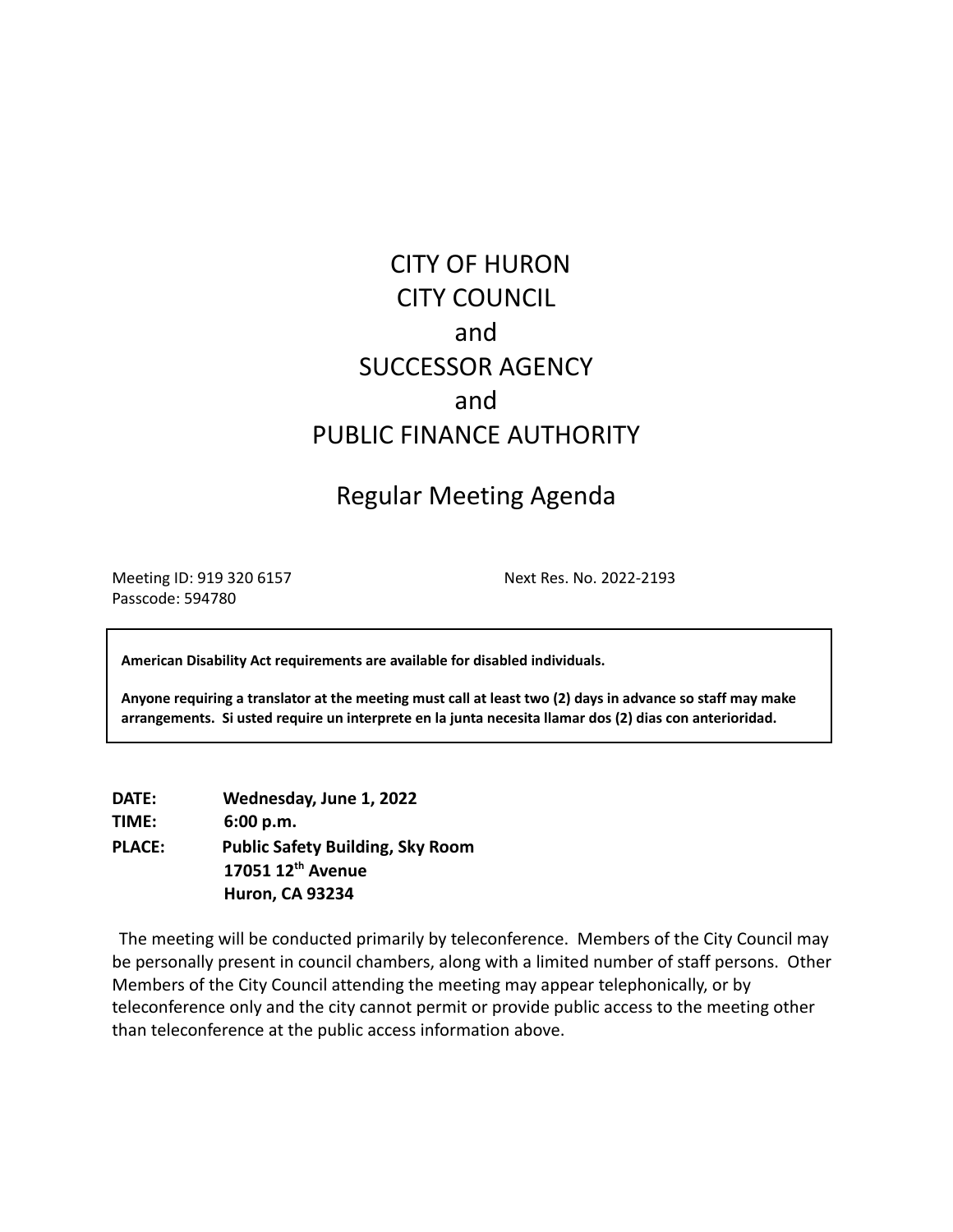# CITY OF HURON CITY COUNCIL and SUCCESSOR AGENCY and PUBLIC FINANCE AUTHORITY

## Regular Meeting Agenda

Meeting ID: 919 320 6157 Next Res. No. 2022-2193 Passcode: 594780

**American Disability Act requirements are available for disabled individuals.**

Anyone requiring a translator at the meeting must call at least two (2) days in advance so staff may make **arrangements. Si usted require un interprete en la junta necesita llamar dos (2) dias con anterioridad.**

**DATE: Wednesday, June 1, 2022 TIME: 6:00 p.m. PLACE: Public Safety Building, Sky Room 17051 12th Avenue Huron, CA 93234**

The meeting will be conducted primarily by teleconference. Members of the City Council may be personally present in council chambers, along with a limited number of staff persons. Other Members of the City Council attending the meeting may appear telephonically, or by teleconference only and the city cannot permit or provide public access to the meeting other than teleconference at the public access information above.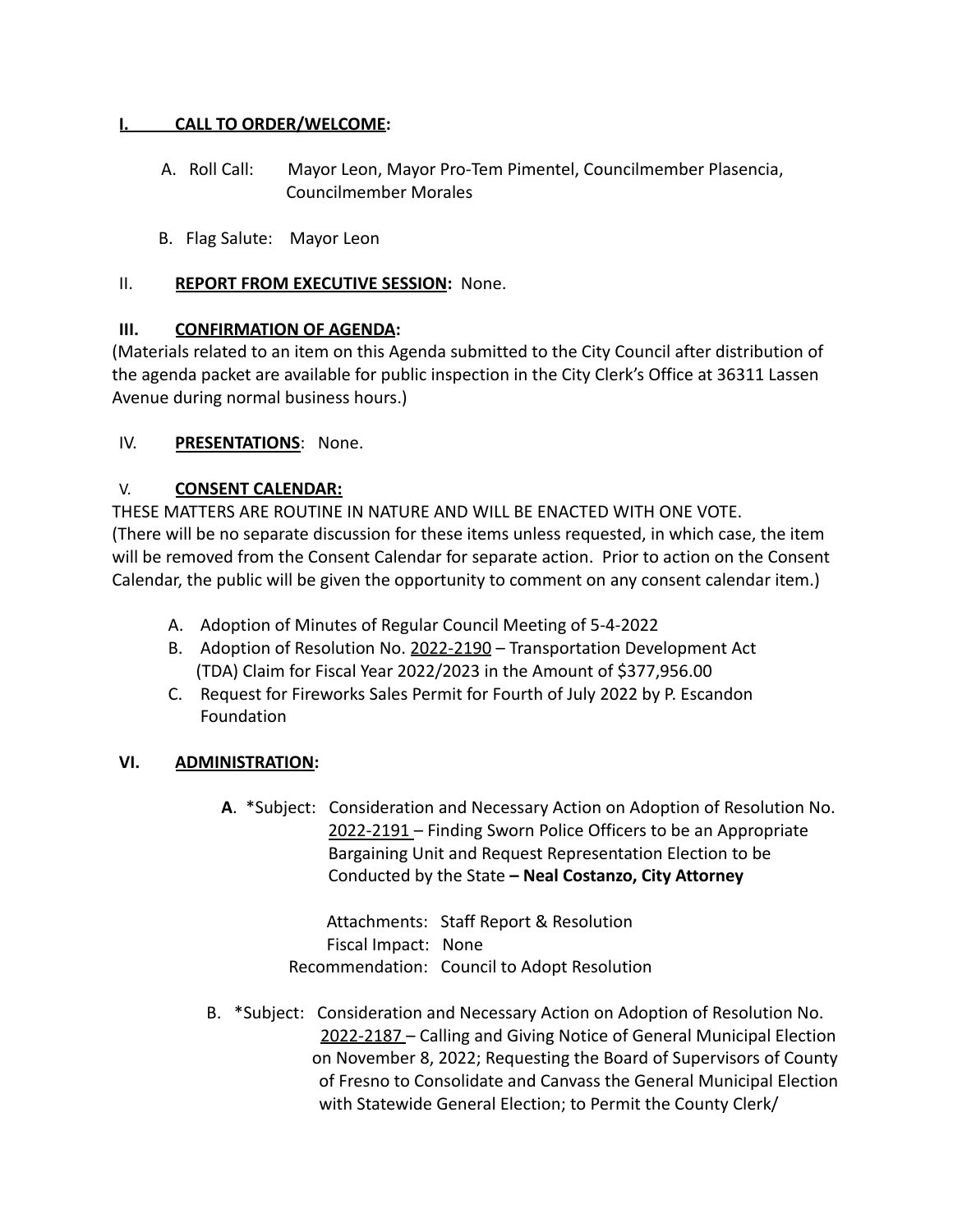#### **I. CALL TO ORDER/WELCOME:**

- A. Roll Call: Mayor Leon, Mayor Pro-Tem Pimentel, Councilmember Plasencia, Councilmember Morales
- B. Flag Salute: Mayor Leon

#### II. **REPORT FROM EXECUTIVE SESSION:** None.

#### **III. CONFIRMATION OF AGENDA:**

(Materials related to an item on this Agenda submitted to the City Council after distribution of the agenda packet are available for public inspection in the City Clerk's Office at 36311 Lassen Avenue during normal business hours.)

#### IV. **PRESENTATIONS**: None.

#### V. **CONSENT CALENDAR:**

THESE MATTERS ARE ROUTINE IN NATURE AND WILL BE ENACTED WITH ONE VOTE. (There will be no separate discussion for these items unless requested, in which case, the item will be removed from the Consent Calendar for separate action. Prior to action on the Consent Calendar, the public will be given the opportunity to comment on any consent calendar item.)

- A. Adoption of Minutes of Regular Council Meeting of 5-4-2022
- B. Adoption of Resolution No. 2022-2190 Transportation Development Act (TDA) Claim for Fiscal Year 2022/2023 in the Amount of \$377,956.00
- C. Request for Fireworks Sales Permit for Fourth of July 2022 by P. Escandon Foundation

### **VI. ADMINISTRATION:**

**A**. \*Subject: Consideration and Necessary Action on Adoption of Resolution No. 2022-2191 – Finding Sworn Police Officers to be an Appropriate Bargaining Unit and Request Representation Election to be Conducted by the State **– Neal Costanzo, City Attorney**

> Attachments: Staff Report & Resolution Fiscal Impact: None Recommendation: Council to Adopt Resolution

B. \*Subject: Consideration and Necessary Action on Adoption of Resolution No. 2022-2187 – Calling and Giving Notice of General Municipal Election on November 8, 2022; Requesting the Board of Supervisors of County of Fresno to Consolidate and Canvass the General Municipal Election with Statewide General Election; to Permit the County Clerk/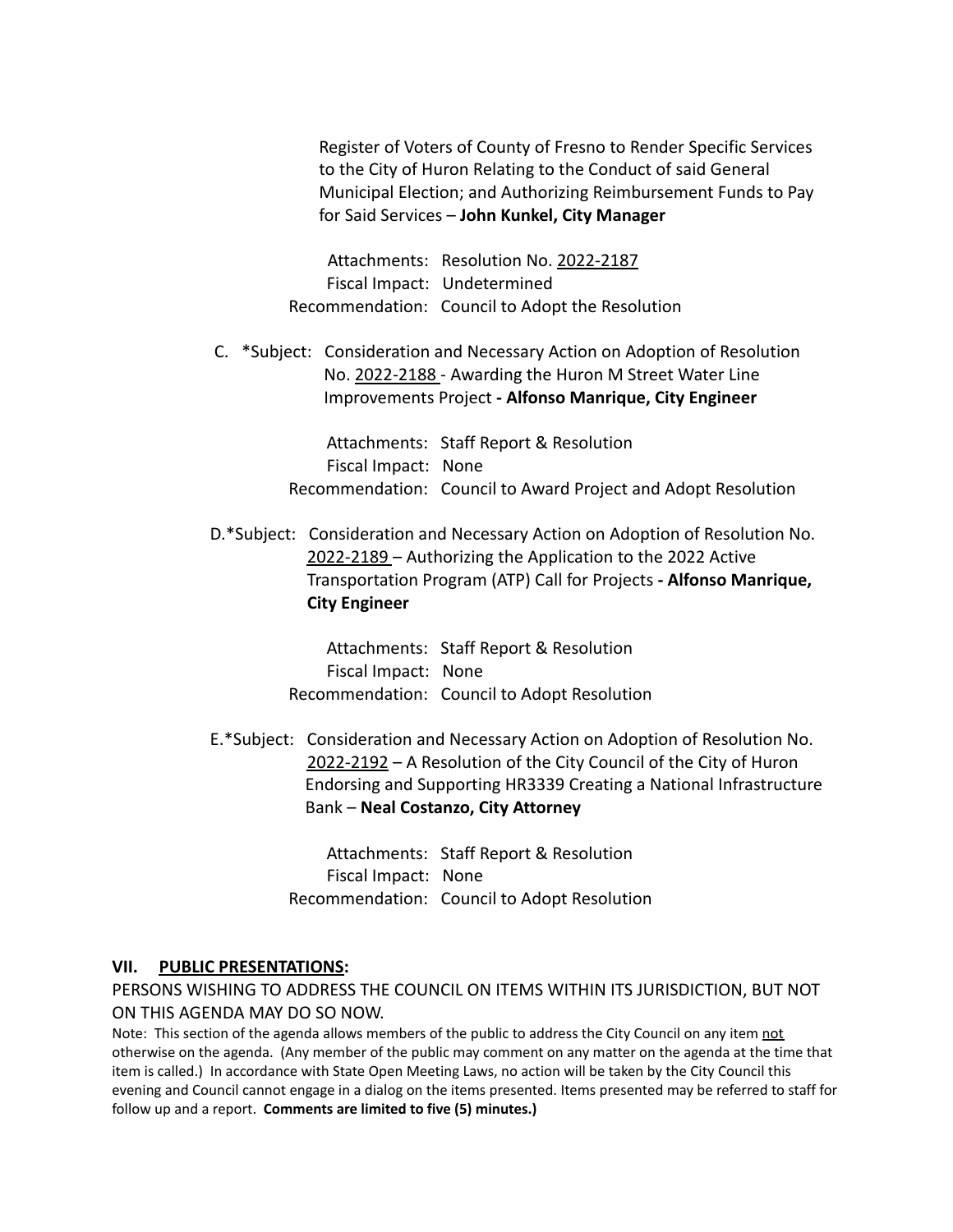Register of Voters of County of Fresno to Render Specific Services to the City of Huron Relating to the Conduct of said General Municipal Election; and Authorizing Reimbursement Funds to Pay for Said Services – **John Kunkel, City Manager**

Attachments: Resolution No. 2022-2187 Fiscal Impact: Undetermined Recommendation: Council to Adopt the Resolution

C. \*Subject: Consideration and Necessary Action on Adoption of Resolution No. 2022-2188 - Awarding the Huron M Street Water Line Improvements Project **- Alfonso Manrique, City Engineer**

> Attachments: Staff Report & Resolution Fiscal Impact: None Recommendation: Council to Award Project and Adopt Resolution

D.\*Subject: Consideration and Necessary Action on Adoption of Resolution No. 2022-2189 – Authorizing the Application to the 2022 Active Transportation Program (ATP) Call for Projects **- Alfonso Manrique, City Engineer**

> Attachments: Staff Report & Resolution Fiscal Impact: None Recommendation: Council to Adopt Resolution

E.\*Subject: Consideration and Necessary Action on Adoption of Resolution No. 2022-2192 – A Resolution of the City Council of the City of Huron Endorsing and Supporting HR3339 Creating a National Infrastructure Bank – **Neal Costanzo, City Attorney**

> Attachments: Staff Report & Resolution Fiscal Impact: None Recommendation: Council to Adopt Resolution

#### **VII. PUBLIC PRESENTATIONS:**

PERSONS WISHING TO ADDRESS THE COUNCIL ON ITEMS WITHIN ITS JURISDICTION, BUT NOT ON THIS AGENDA MAY DO SO NOW.

Note: This section of the agenda allows members of the public to address the City Council on any item not otherwise on the agenda. (Any member of the public may comment on any matter on the agenda at the time that item is called.) In accordance with State Open Meeting Laws, no action will be taken by the City Council this evening and Council cannot engage in a dialog on the items presented. Items presented may be referred to staff for follow up and a report. **Comments are limited to five (5) minutes.)**